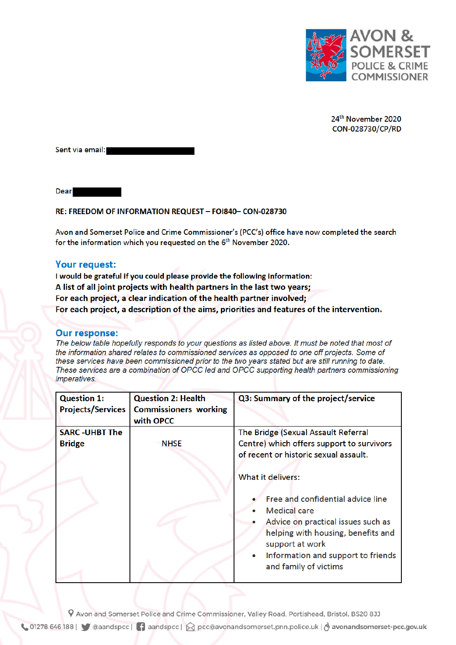

24<sup>th</sup> November 2020 CON-028730/CP/RD

Sent via email:

**Dear** 

## RE: FREEDOM OF INFORMATION REQUEST - FOI840- CON-028730

Avon and Somerset Police and Crime Commissioner's (PCC's) office have now completed the search for the information which you requested on the 6<sup>th</sup> November 2020.

## Your request:

I would be grateful if you could please provide the following information: A list of all joint projects with health partners in the last two years; For each project, a clear indication of the health partner involved; For each project, a description of the aims, priorities and features of the intervention.

## **Our response:**

The below table hopefully responds to your questions as listed above. It must be noted that most of the information shared relates to commissioned services as opposed to one off projects. Some of these services have been commissioned prior to the two years stated but are still running to date. These services are a combination of OPCC led and OPCC supporting health partners commissioning *imperatives.* 

| <b>Question 1:</b>                    | <b>Question 2: Health</b>                 | Q3: Summary of the project/service                                                                                                                                                                                                                 |
|---------------------------------------|-------------------------------------------|----------------------------------------------------------------------------------------------------------------------------------------------------------------------------------------------------------------------------------------------------|
| <b>Projects/Services</b>              | <b>Commissioners working</b><br>with OPCC |                                                                                                                                                                                                                                                    |
| <b>SARC-UHBT The</b><br><b>Bridge</b> | <b>NHSE</b>                               | The Bridge (Sexual Assault Referral<br>Centre) which offers support to survivors<br>of recent or historic sexual assault.                                                                                                                          |
|                                       |                                           | <b>What it delivers:</b><br>Free and confidential advice line<br><b>Medical</b> care<br>Advice on practical issues such as<br>helping with housing, benefits and<br>support at work<br>Information and support to friends<br>and family of victims |

P Avon and Somerset Police and Crime Commissioner, Valley Road, Portishead, Bristol. BS20 8JJ

↓ 01278 646 188 | ● @aandspcc | ● aandspcc | △ pcc@avonandsomerset.pnn.police.uk | & avonandsomerset-pcc.gov.uk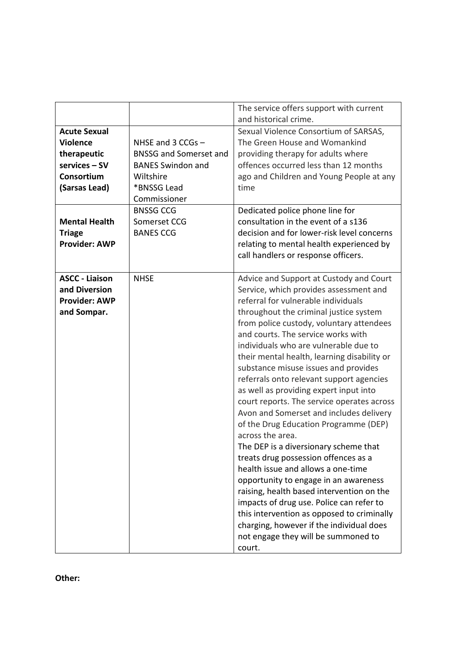|                       |                               | The service offers support with current                   |
|-----------------------|-------------------------------|-----------------------------------------------------------|
|                       |                               | and historical crime.                                     |
| <b>Acute Sexual</b>   |                               | Sexual Violence Consortium of SARSAS,                     |
| <b>Violence</b>       | NHSE and 3 CCGs -             | The Green House and Womankind                             |
| therapeutic           | <b>BNSSG and Somerset and</b> | providing therapy for adults where                        |
| services - SV         | <b>BANES Swindon and</b>      | offences occurred less than 12 months                     |
| Consortium            | Wiltshire                     | ago and Children and Young People at any                  |
| (Sarsas Lead)         | *BNSSG Lead                   | time                                                      |
|                       | Commissioner                  |                                                           |
|                       | <b>BNSSG CCG</b>              | Dedicated police phone line for                           |
| <b>Mental Health</b>  | Somerset CCG                  | consultation in the event of a s136                       |
| <b>Triage</b>         | <b>BANES CCG</b>              | decision and for lower-risk level concerns                |
| <b>Provider: AWP</b>  |                               | relating to mental health experienced by                  |
|                       |                               | call handlers or response officers.                       |
|                       |                               |                                                           |
| <b>ASCC - Liaison</b> | <b>NHSE</b>                   | Advice and Support at Custody and Court                   |
| and Diversion         |                               | Service, which provides assessment and                    |
| <b>Provider: AWP</b>  |                               | referral for vulnerable individuals                       |
| and Sompar.           |                               | throughout the criminal justice system                    |
|                       |                               | from police custody, voluntary attendees                  |
|                       |                               | and courts. The service works with                        |
|                       |                               | individuals who are vulnerable due to                     |
|                       |                               | their mental health, learning disability or               |
|                       |                               | substance misuse issues and provides                      |
|                       |                               | referrals onto relevant support agencies                  |
|                       |                               | as well as providing expert input into                    |
|                       |                               | court reports. The service operates across                |
|                       |                               | Avon and Somerset and includes delivery                   |
|                       |                               |                                                           |
|                       |                               | of the Drug Education Programme (DEP)<br>across the area. |
|                       |                               |                                                           |
|                       |                               | The DEP is a diversionary scheme that                     |
|                       |                               | treats drug possession offences as a                      |
|                       |                               | health issue and allows a one-time                        |
|                       |                               | opportunity to engage in an awareness                     |
|                       |                               | raising, health based intervention on the                 |
|                       |                               | impacts of drug use. Police can refer to                  |
|                       |                               | this intervention as opposed to criminally                |
|                       |                               | charging, however if the individual does                  |
|                       |                               | not engage they will be summoned to                       |
|                       |                               | court.                                                    |